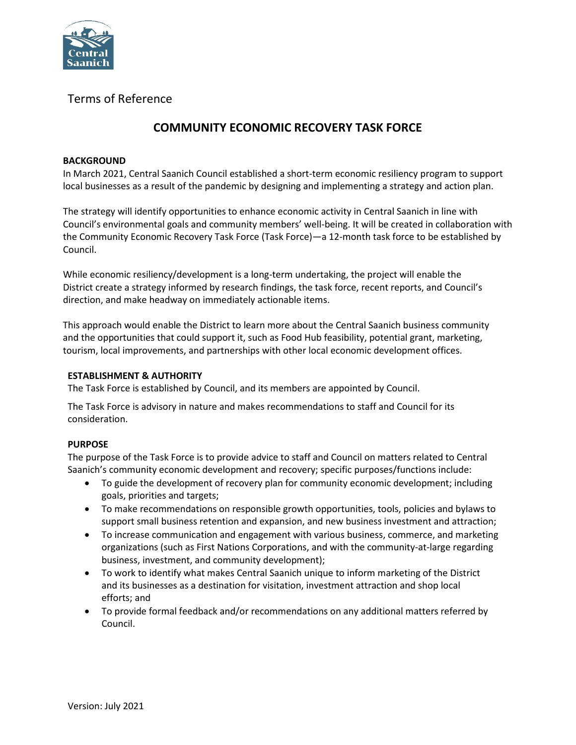

## Terms of Reference

# **COMMUNITY ECONOMIC RECOVERY TASK FORCE**

#### **BACKGROUND**

In March 2021, Central Saanich Council established a short-term economic resiliency program to support local businesses as a result of the pandemic by designing and implementing a strategy and action plan.

The strategy will identify opportunities to enhance economic activity in Central Saanich in line with Council's environmental goals and community members' well-being. It will be created in collaboration with the Community Economic Recovery Task Force (Task Force)—a 12-month task force to be established by Council.

While economic resiliency/development is a long-term undertaking, the project will enable the District create a strategy informed by research findings, the task force, recent reports, and Council's direction, and make headway on immediately actionable items.

This approach would enable the District to learn more about the Central Saanich business community and the opportunities that could support it, such as Food Hub feasibility, potential grant, marketing, tourism, local improvements, and partnerships with other local economic development offices.

#### **ESTABLISHMENT & AUTHORITY**

The Task Force is established by Council, and its members are appointed by Council.

The Task Force is advisory in nature and makes recommendations to staff and Council for its consideration.

### **PURPOSE**

The purpose of the Task Force is to provide advice to staff and Council on matters related to Central Saanich's community economic development and recovery; specific purposes/functions include:

- To guide the development of recovery plan for community economic development; including goals, priorities and targets;
- To make recommendations on responsible growth opportunities, tools, policies and bylaws to support small business retention and expansion, and new business investment and attraction;
- To increase communication and engagement with various business, commerce, and marketing organizations (such as First Nations Corporations, and with the community-at-large regarding business, investment, and community development);
- To work to identify what makes Central Saanich unique to inform marketing of the District and its businesses as a destination for visitation, investment attraction and shop local efforts; and
- To provide formal feedback and/or recommendations on any additional matters referred by Council.